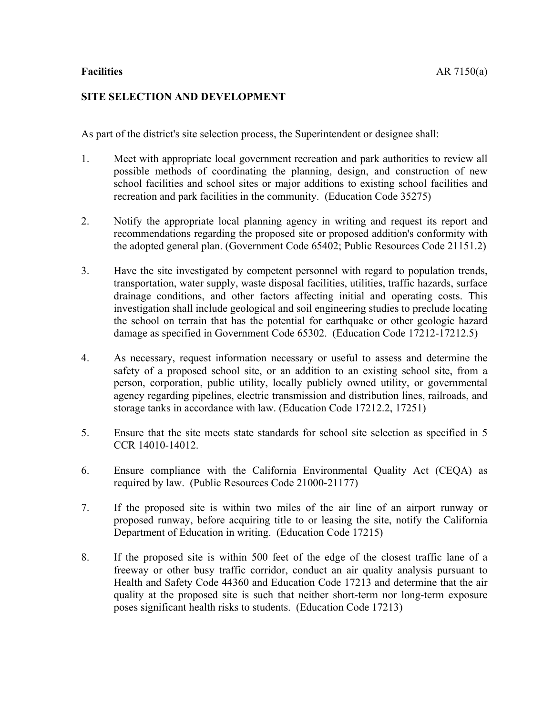## **SITE SELECTION AND DEVELOPMENT**

As part of the district's site selection process, the Superintendent or designee shall:

- 1. Meet with appropriate local government recreation and park authorities to review all possible methods of coordinating the planning, design, and construction of new school facilities and school sites or major additions to existing school facilities and recreation and park facilities in the community. (Education Code 35275)
- 2. Notify the appropriate local planning agency in writing and request its report and recommendations regarding the proposed site or proposed addition's conformity with the adopted general plan. (Government Code 65402; Public Resources Code 21151.2)
- 3. Have the site investigated by competent personnel with regard to population trends, transportation, water supply, waste disposal facilities, utilities, traffic hazards, surface drainage conditions, and other factors affecting initial and operating costs. This investigation shall include geological and soil engineering studies to preclude locating the school on terrain that has the potential for earthquake or other geologic hazard damage as specified in Government Code 65302. (Education Code 17212-17212.5)
- 4. As necessary, request information necessary or useful to assess and determine the safety of a proposed school site, or an addition to an existing school site, from a person, corporation, public utility, locally publicly owned utility, or governmental agency regarding pipelines, electric transmission and distribution lines, railroads, and storage tanks in accordance with law. (Education Code 17212.2, 17251)
- 5. Ensure that the site meets state standards for school site selection as specified in 5 CCR 14010-14012.
- 6. Ensure compliance with the California Environmental Quality Act (CEQA) as required by law. (Public Resources Code 21000-21177)
- 7. If the proposed site is within two miles of the air line of an airport runway or proposed runway, before acquiring title to or leasing the site, notify the California Department of Education in writing. (Education Code 17215)
- 8. If the proposed site is within 500 feet of the edge of the closest traffic lane of a freeway or other busy traffic corridor, conduct an air quality analysis pursuant to Health and Safety Code 44360 and Education Code 17213 and determine that the air quality at the proposed site is such that neither short-term nor long-term exposure poses significant health risks to students. (Education Code 17213)